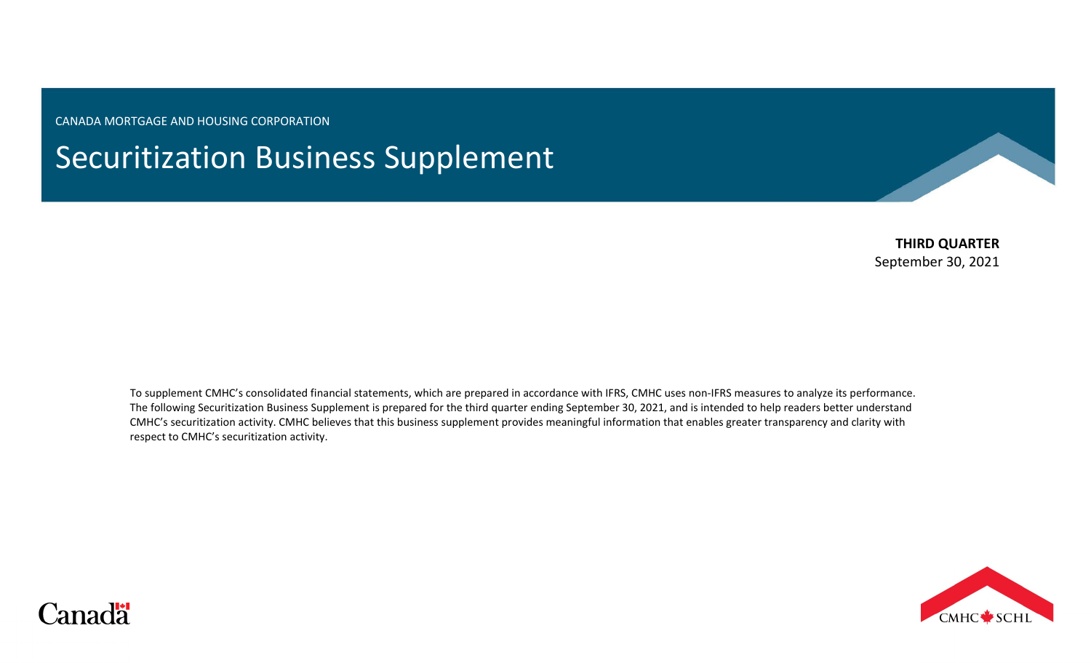CANADA MORTGAGE AND HOUSING CORPORATION

# Securitization Business Supplement

**THIRD QUARTER** September 30, 2021

To supplement CMHC's consolidated financial statements, which are prepared in accordance with IFRS, CMHC uses non-IFRS measures to analyze its performance. The following Securitization Business Supplement is prepared for the third quarter ending September 30, 2021, and is intended to help readers better understand CMHC's securitization activity. CMHC believes that this business supplement provides meaningful information that enables greater transparency and clarity with respect to CMHC's securitization activity.



# Canadä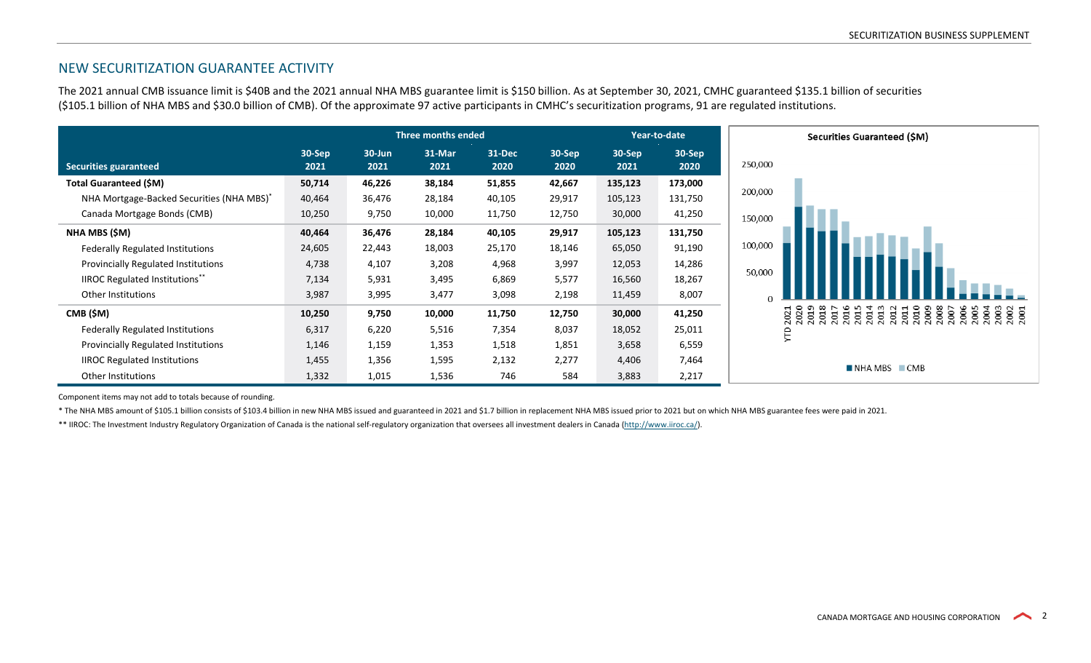# NEW SECURITIZATION GUARANTEE ACTIVITY

The 2021 annual CMB issuance limit is \$40B and the 2021 annual NHA MBS guarantee limit is \$150 billion. As at September 30, 2021, CMHC guaranteed \$135.1 billion of securities (\$105.1 billion of NHA MBS and \$30.0 billion of CMB). Of the approximate 97 active participants in CMHC's securitization programs, 91 are regulated institutions.

|                                                       |                | Three months ended |                |                |                |                  | Year-to-date   | Securities Guaranteed (\$M)                                                                                       |
|-------------------------------------------------------|----------------|--------------------|----------------|----------------|----------------|------------------|----------------|-------------------------------------------------------------------------------------------------------------------|
| <b>Securities guaranteed</b>                          | 30-Sep<br>2021 | $30 - Jun$<br>2021 | 31-Mar<br>2021 | 31-Dec<br>2020 | 30-Sep<br>2020 | $30-Sep$<br>2021 | 30-Sep<br>2020 | 250,000                                                                                                           |
| Total Guaranteed (\$M)                                | 50,714         | 46,226             | 38,184         | 51,855         | 42,667         | 135,123          | 173,000        |                                                                                                                   |
| NHA Mortgage-Backed Securities (NHA MBS) <sup>®</sup> | 40,464         | 36,476             | 28,184         | 40,105         | 29,917         | 105,123          | 131,750        | 200,000                                                                                                           |
| Canada Mortgage Bonds (CMB)                           | 10,250         | 9,750              | 10,000         | 11,750         | 12,750         | 30,000           | 41,250         | 150,000                                                                                                           |
| NHA MBS (\$M)                                         | 40,464         | 36,476             | 28,184         | 40,105         | 29,917         | 105,123          | 131,750        |                                                                                                                   |
| <b>Federally Regulated Institutions</b>               | 24,605         | 22,443             | 18,003         | 25,170         | 18,146         | 65,050           | 91,190         | 100,000                                                                                                           |
| Provincially Regulated Institutions                   | 4,738          | 4,107              | 3,208          | 4,968          | 3,997          | 12,053           | 14,286         |                                                                                                                   |
| IIROC Regulated Institutions**                        | 7,134          | 5,931              | 3,495          | 6,869          | 5,577          | 16,560           | 18,267         | 50,000                                                                                                            |
| Other Institutions                                    | 3,987          | 3,995              | 3,477          | 3,098          | 2,198          | 11,459           | 8,007          |                                                                                                                   |
| CMB (\$M)                                             | 10,250         | 9,750              | 10,000         | 11,750         | 12,750         | 30,000           | 41,250         | $\infty$<br>008<br>m<br>$\circ$<br>009<br>60<br>ā<br>g<br>g<br>g<br>g<br>g<br>ឪ<br>⊝<br>⊝                         |
| <b>Federally Regulated Institutions</b>               | 6,317          | 6,220              | 5,516          | 7,354          | 8,037          | 18,052           | 25,011         | $\overline{N}$ $\overline{N}$ $\overline{N}$<br>$\sim$<br>$\sim$ $\sim$<br>$\sim$<br>$\sim$<br>$\sim$ $\sim$<br>Ê |
| Provincially Regulated Institutions                   | 1,146          | 1,159              | 1,353          | 1,518          | 1,851          | 3,658            | 6,559          |                                                                                                                   |
| <b>IIROC Regulated Institutions</b>                   | 1,455          | 1,356              | 1,595          | 2,132          | 2,277          | 4,406            | 7,464          | $\blacksquare$ CMB<br>$\blacksquare$ NHA MBS                                                                      |
| Other Institutions                                    | 1,332          | 1,015              | 1,536          | 746            | 584            | 3,883            | 2,217          |                                                                                                                   |

Component items may not add to totals because of rounding.

\* The NHA MBS amount of \$105.1 billion consists of \$103.4 billion in new NHA MBS issued and guaranteed in 2021 and \$1.7 billion in replacement NHA MBS issued prior to 2021 but on which NHA MBS guarantee fees were paid in 2

\*\* IIROC: The Investment Industry Regulatory Organization of Canada is the national self-regulatory organization that oversees all investment dealers in Canada ([http://www.iiroc.ca/\).](http://www.iiroc.ca/)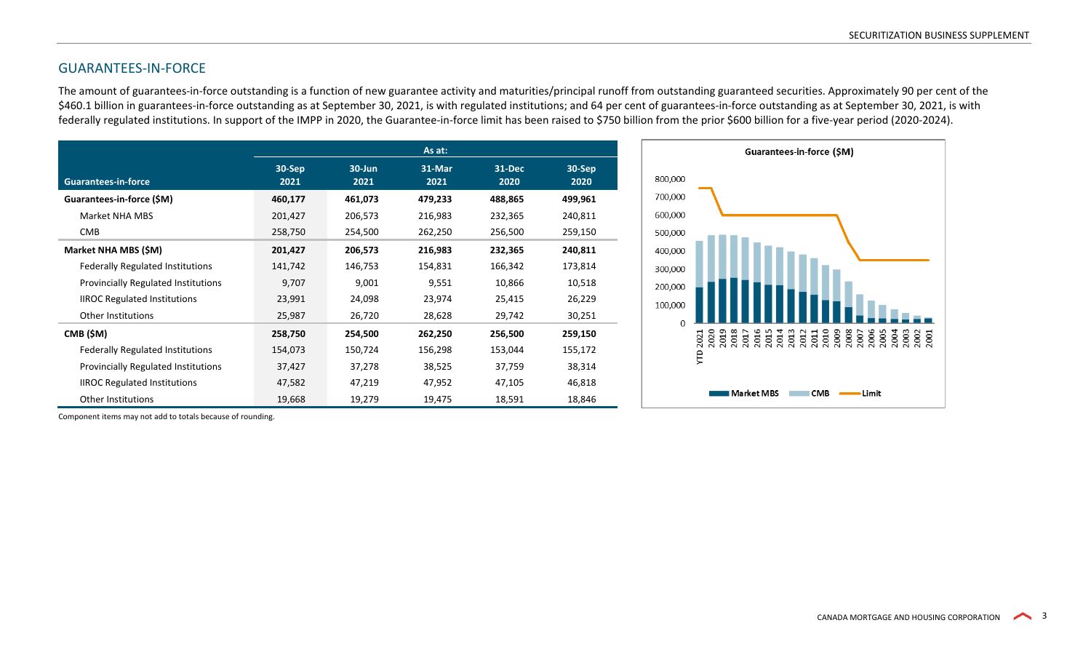# GUARANTEES-IN-FORCE

The amount of guarantees-in-force outstanding is a function of new guarantee activity and maturities/principal runoff from outstanding guaranteed securities. Approximately 90 per cent of the \$460.1 billion in guarantees-in-force outstanding as at September 30, 2021, is with regulated institutions; and 64 per cent of guarantees-in-force outstanding as at September 30, 2021, is with federally regulated institutions. In support of the IMPP in 2020, the Guarantee-in-force limit has been raised to \$750 billion from the prior \$600 billion for a five-year period (2020-2024).

|                                            |                |                | As at:         |                |                |
|--------------------------------------------|----------------|----------------|----------------|----------------|----------------|
| <b>Guarantees-in-force</b>                 | 30-Sep<br>2021 | 30-Jun<br>2021 | 31-Mar<br>2021 | 31-Dec<br>2020 | 30-Sep<br>2020 |
| Guarantees-in-force (\$M)                  | 460,177        | 461,073        | 479,233        | 488,865        | 499,961        |
| Market NHA MBS                             | 201,427        | 206,573        | 216,983        | 232,365        | 240,811        |
| <b>CMB</b>                                 | 258,750        | 254,500        | 262,250        | 256,500        | 259,150        |
| Market NHA MBS (\$M)                       | 201,427        | 206,573        | 216,983        | 232,365        | 240,811        |
| <b>Federally Regulated Institutions</b>    | 141,742        | 146,753        | 154,831        | 166,342        | 173,814        |
| <b>Provincially Regulated Institutions</b> | 9,707          | 9,001          | 9,551          | 10,866         | 10,518         |
| <b>IIROC Regulated Institutions</b>        | 23,991         | 24,098         | 23,974         | 25,415         | 26,229         |
| Other Institutions                         | 25,987         | 26,720         | 28,628         | 29,742         | 30,251         |
| CMB (\$M)                                  | 258,750        | 254,500        | 262,250        | 256,500        | 259,150        |
| <b>Federally Regulated Institutions</b>    | 154,073        | 150,724        | 156,298        | 153,044        | 155,172        |
| <b>Provincially Regulated Institutions</b> | 37,427         | 37,278         | 38,525         | 37,759         | 38,314         |
| <b>IIROC Regulated Institutions</b>        | 47,582         | 47,219         | 47,952         | 47,105         | 46,818         |
| <b>Other Institutions</b>                  | 19,668         | 19,279         | 19,475         | 18,591         | 18,846         |



Component items may not add to totals because of rounding.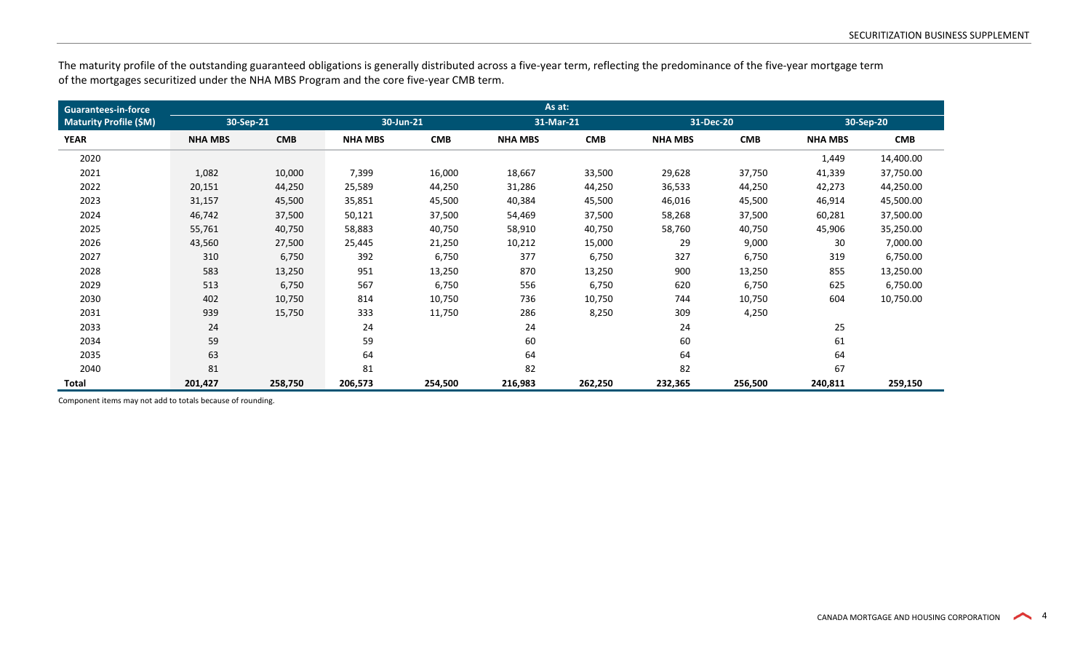The maturity profile of the outstanding guaranteed obligations is generally distributed across a five-year term, reflecting the predominance of the five-year mortgage term of the mortgages securitized under the NHA MBS Program and the core five-year CMB term.

| <b>Guarantees-in-force</b>    | As at:         |            |                |            |                |            |                |            |                |            |
|-------------------------------|----------------|------------|----------------|------------|----------------|------------|----------------|------------|----------------|------------|
| <b>Maturity Profile (\$M)</b> | 30-Sep-21      |            | 30-Jun-21      |            | 31-Mar-21      |            | 31-Dec-20      |            |                | 30-Sep-20  |
| <b>YEAR</b>                   | <b>NHA MBS</b> | <b>CMB</b> | <b>NHA MBS</b> | <b>CMB</b> | <b>NHA MBS</b> | <b>CMB</b> | <b>NHA MBS</b> | <b>CMB</b> | <b>NHA MBS</b> | <b>CMB</b> |
| 2020                          |                |            |                |            |                |            |                |            | 1,449          | 14,400.00  |
| 2021                          | 1,082          | 10,000     | 7,399          | 16,000     | 18,667         | 33,500     | 29,628         | 37,750     | 41,339         | 37,750.00  |
| 2022                          | 20,151         | 44,250     | 25,589         | 44,250     | 31,286         | 44,250     | 36,533         | 44,250     | 42,273         | 44,250.00  |
| 2023                          | 31,157         | 45,500     | 35,851         | 45,500     | 40,384         | 45,500     | 46,016         | 45,500     | 46,914         | 45,500.00  |
| 2024                          | 46,742         | 37,500     | 50,121         | 37,500     | 54,469         | 37,500     | 58,268         | 37,500     | 60,281         | 37,500.00  |
| 2025                          | 55,761         | 40,750     | 58,883         | 40,750     | 58,910         | 40,750     | 58,760         | 40,750     | 45,906         | 35,250.00  |
| 2026                          | 43,560         | 27,500     | 25,445         | 21,250     | 10,212         | 15,000     | 29             | 9,000      | 30             | 7,000.00   |
| 2027                          | 310            | 6,750      | 392            | 6,750      | 377            | 6,750      | 327            | 6,750      | 319            | 6,750.00   |
| 2028                          | 583            | 13,250     | 951            | 13,250     | 870            | 13,250     | 900            | 13,250     | 855            | 13,250.00  |
| 2029                          | 513            | 6,750      | 567            | 6,750      | 556            | 6,750      | 620            | 6,750      | 625            | 6,750.00   |
| 2030                          | 402            | 10,750     | 814            | 10,750     | 736            | 10,750     | 744            | 10,750     | 604            | 10,750.00  |
| 2031                          | 939            | 15,750     | 333            | 11,750     | 286            | 8,250      | 309            | 4,250      |                |            |
| 2033                          | 24             |            | 24             |            | 24             |            | 24             |            | 25             |            |
| 2034                          | 59             |            | 59             |            | 60             |            | 60             |            | 61             |            |
| 2035                          | 63             |            | 64             |            | 64             |            | 64             |            | 64             |            |
| 2040                          | 81             |            | 81             |            | 82             |            | 82             |            | 67             |            |
| Total                         | 201,427        | 258,750    | 206,573        | 254,500    | 216,983        | 262,250    | 232,365        | 256,500    | 240,811        | 259,150    |

Component items may not add to totals because of rounding.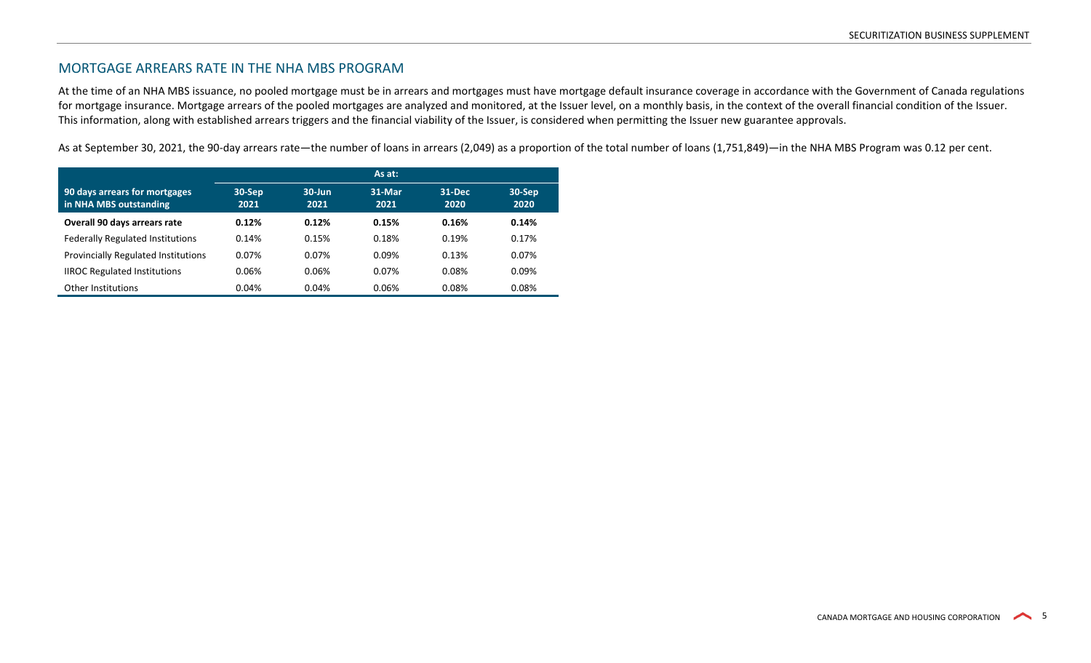# MORTGAGE ARREARS RATE IN THE NHA MBS PROGRAM

At the time of an NHA MBS issuance, no pooled mortgage must be in arrears and mortgages must have mortgage default insurance coverage in accordance with the Government of Canada regulations for mortgage insurance. Mortgage arrears of the pooled mortgages are analyzed and monitored, at the Issuer level, on a monthly basis, in the context of the overall financial condition of the Issuer. This information, along with established arrears triggers and the financial viability of the Issuer, is considered when permitting the Issuer new guarantee approvals.

As at September 30, 2021, the 90-day arrears rate—the number of loans in arrears (2,049) as a proportion of the total number of loans (1,751,849)—in the NHA MBS Program was 0.12 per cent.

|                                                         |                | As at:            |                |                |                               |  |  |  |
|---------------------------------------------------------|----------------|-------------------|----------------|----------------|-------------------------------|--|--|--|
| 90 days arrears for mortgages<br>in NHA MBS outstanding | 30-Sep<br>2021 | $30$ -Jun<br>2021 | 31-Mar<br>2021 | 31-Dec<br>2020 | $30 - \overline{Sep}$<br>2020 |  |  |  |
| Overall 90 days arrears rate                            | 0.12%          | 0.12%             | 0.15%          | 0.16%          | 0.14%                         |  |  |  |
| <b>Federally Regulated Institutions</b>                 | 0.14%          | 0.15%             | 0.18%          | 0.19%          | 0.17%                         |  |  |  |
| <b>Provincially Regulated Institutions</b>              | 0.07%          | 0.07%             | 0.09%          | 0.13%          | 0.07%                         |  |  |  |
| <b>IIROC Regulated Institutions</b>                     | 0.06%          | 0.06%             | 0.07%          | 0.08%          | 0.09%                         |  |  |  |
| Other Institutions                                      | 0.04%          | 0.04%             | 0.06%          | 0.08%          | 0.08%                         |  |  |  |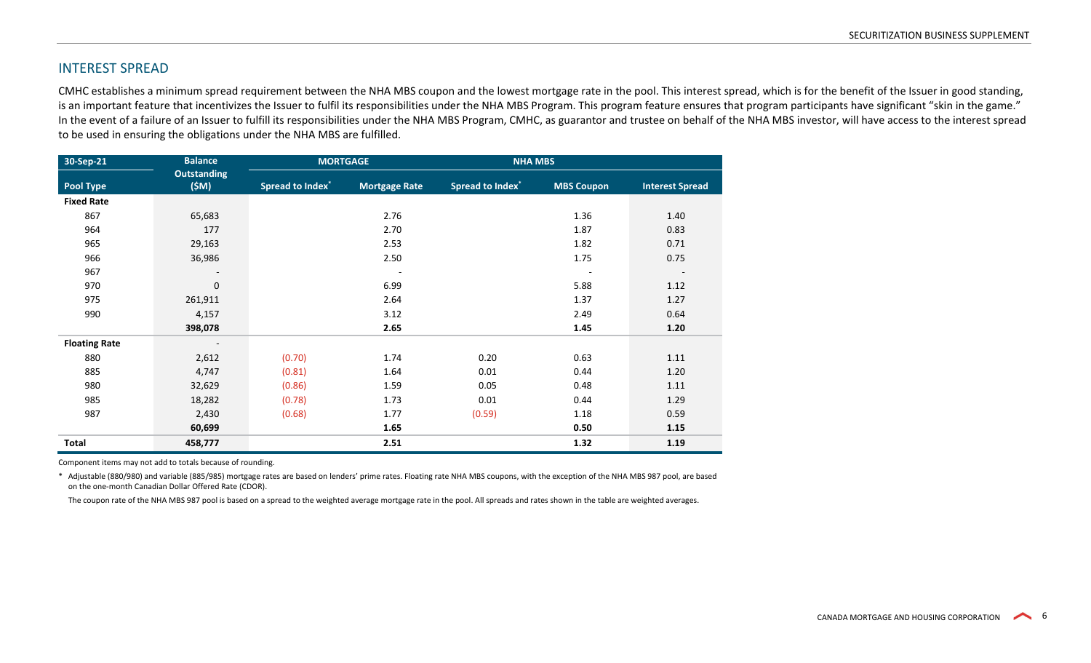## INTEREST SPREAD

CMHC establishes a minimum spread requirement between the NHA MBS coupon and the lowest mortgage rate in the pool. This interest spread, which is for the benefit of the Issuer in good standing, is an important feature that incentivizes the Issuer to fulfil its responsibilities under the NHA MBS Program. This program feature ensures that program participants have significant "skin in the game." In the event of a failure of an Issuer to fulfill its responsibilities under the NHA MBS Program, CMHC, as guarantor and trustee on behalf of the NHA MBS investor, will have access to the interest spread to be used in ensuring the obligations under the NHA MBS are fulfilled.

| 30-Sep-21            | <b>Balance</b>             | <b>MORTGAGE</b>         |                          | <b>NHA MBS</b>          |                   |                          |
|----------------------|----------------------------|-------------------------|--------------------------|-------------------------|-------------------|--------------------------|
| <b>Pool Type</b>     | <b>Outstanding</b><br>(SM) | <b>Spread to Index*</b> | <b>Mortgage Rate</b>     | <b>Spread to Index*</b> | <b>MBS Coupon</b> | <b>Interest Spread</b>   |
| <b>Fixed Rate</b>    |                            |                         |                          |                         |                   |                          |
| 867                  | 65,683                     |                         | 2.76                     |                         | 1.36              | 1.40                     |
| 964                  | 177                        |                         | 2.70                     |                         | 1.87              | 0.83                     |
| 965                  | 29,163                     |                         | 2.53                     |                         | 1.82              | 0.71                     |
| 966                  | 36,986                     |                         | 2.50                     |                         | 1.75              | 0.75                     |
| 967                  |                            |                         | $\overline{\phantom{a}}$ |                         |                   | $\overline{\phantom{a}}$ |
| 970                  | $\mathbf 0$                |                         | 6.99                     |                         | 5.88              | 1.12                     |
| 975                  | 261,911                    |                         | 2.64                     |                         | 1.37              | 1.27                     |
| 990                  | 4,157                      |                         | 3.12                     |                         | 2.49              | 0.64                     |
|                      | 398,078                    |                         | 2.65                     |                         | 1.45              | 1.20                     |
| <b>Floating Rate</b> | $\overline{\phantom{a}}$   |                         |                          |                         |                   |                          |
| 880                  | 2,612                      | (0.70)                  | 1.74                     | 0.20                    | 0.63              | 1.11                     |
| 885                  | 4,747                      | (0.81)                  | 1.64                     | 0.01                    | 0.44              | 1.20                     |
| 980                  | 32,629                     | (0.86)                  | 1.59                     | 0.05                    | 0.48              | 1.11                     |
| 985                  | 18,282                     | (0.78)                  | 1.73                     | 0.01                    | 0.44              | 1.29                     |
| 987                  | 2,430                      | (0.68)                  | 1.77                     | (0.59)                  | 1.18              | 0.59                     |
|                      | 60,699                     |                         | 1.65                     |                         | 0.50              | 1.15                     |
| <b>Total</b>         | 458,777                    |                         | 2.51                     |                         | 1.32              | 1.19                     |

Component items may not add to totals because of rounding.

\* Adjustable (880/980) and variable (885/985) mortgage rates are based on lenders' prime rates. Floating rate NHA MBS coupons, with the exception of the NHA MBS 987 pool, are based on the one-month Canadian Dollar Offered Rate (CDOR).

The coupon rate of the NHA MBS 987 pool is based on a spread to the weighted average mortgage rate in the pool. All spreads and rates shown in the table are weighted averages.